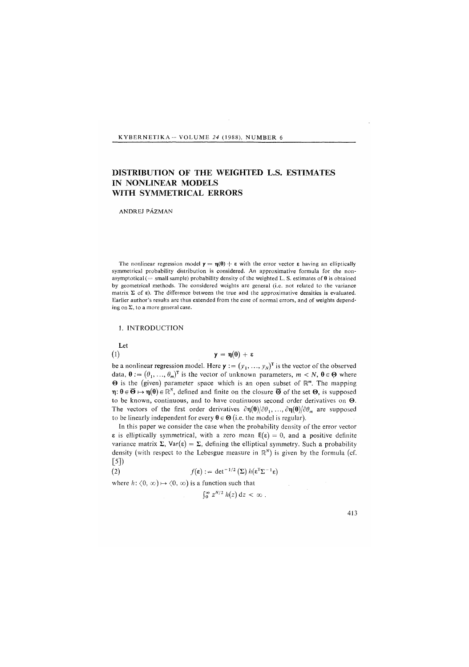#### KYBERNETIKA- VOLUME *24* (1988), NUMBER 6

# DISTRIBUTION OF THE WEIGHTED L*.*S. ESTIMATES IN NONLINEAR MODELS WITH SYMMETRICAL ERRORS

ANDREJ PAZMAN

The nonlinear regression model  $y = \eta(0) + \varepsilon$  with the error vector  $\varepsilon$  having an elliptically symmetrical probability distribution is considered. An approximative formula for the nonasymptotical (= small sample) probability density of the weighted L. S. estimates of  $\theta$  is obtained by geometrical methods. The considered weights are general (i.e. not related to the variance matrix  $\Sigma$  of  $\varepsilon$ ). The difference between the true and the approximative densities is evaluated. Earlier author's results are thus extended from the case of normal errors, and of weights depending on  $\Sigma$ , to a more general case.

### 1. INTRODUCTION

Let  $(1)$ 

 $y = \eta(\theta) + \epsilon$ 

be a nonlinear regression model. Here  $\mathbf{y} := (y_1, ..., y_N)^\mathsf{T}$  is the vector of the observed data,  $\theta := (\theta_1, \ldots, \theta_m)^T$  is the vector of unknown parameters,  $m < N$ ,  $\theta \in \Theta$  where  $\Theta$  is the (given) parameter space which is an open subset of  $\mathbb{R}^m$ . The mapping  $\eta: \theta \in \overline{\Theta} \mapsto \eta(\theta) \in \mathbb{R}^N$ , defined and finite on the closure  $\overline{\Theta}$  of the set  $\Theta$ , is supposed to be known, continuous, and to have continuous second order derivatives on  $\Theta$ . The vectors of the first order derivatives  $\partial \eta(\theta)/\partial \theta_1, \ldots, \partial \eta(\theta)/\partial \theta_m$  are supposed to be linearly independent for every  $\theta \in \Theta$  (i.e. the model is regular).

In this paper we consider the case when the probability density of the error vector  $\epsilon$  is elliptically symmetrical, with a zero mean  $E(\epsilon) = 0$ , and a positive definite variance matrix  $\Sigma$ ,  $Var(\varepsilon) = \Sigma$ , defining the elliptical symmetry. Such a probability density (with respect to the Lebesgue measure in *R<sup>N</sup> )* is given by the formula (cf.  $[5]$ 

(2) 
$$
f(\mathbf{\varepsilon}) := \det^{-1/2} \left( \Sigma \right) h(\mathbf{\varepsilon}^{\mathrm{T}} \Sigma^{-1} \mathbf{\varepsilon})
$$

where  $h: (0, \infty) \mapsto (0, \infty)$  is a function such that

 $\int_0^{\infty} z^{N/2} h(z) dz < \infty$ .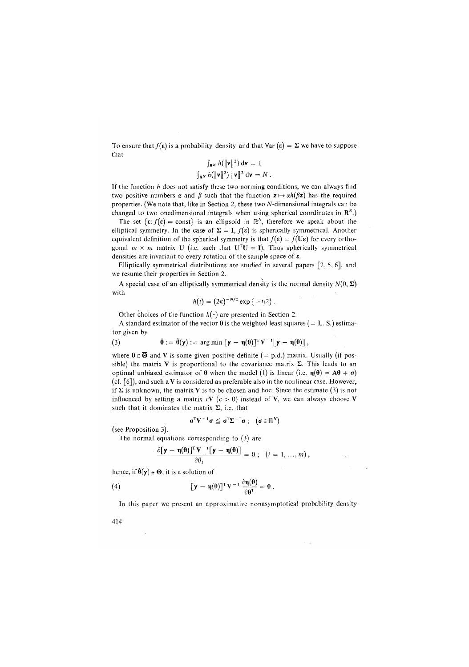To ensure that  $f(\varepsilon)$  is a probability density and that  $\text{Var}(\varepsilon) = \Sigma$  we have to suppose that

$$
\int_{\mathbf{R}^N} h(\|\mathbf{v}\|^2) d\mathbf{v} = 1
$$
  

$$
\int_{\mathbf{R}^N} h(\|\mathbf{v}\|^2) \|\mathbf{v}\|^2 d\mathbf{v} = N.
$$

If the function *h* does not satisfy these two norming conditions, we can always find two positive numbers  $\alpha$  and  $\beta$  such that the function  $z \mapsto \alpha h(\beta z)$  has the required properties. *(*We note that, like in Section 2, these two A*t*-dimensional integrals can be changed to two onedimensional integrals when using spherical coordinates in  $\mathbb{R}^N$ .)

The set  $\{\varepsilon: f(\varepsilon) = \text{const}\}\$ is an ellipsoid in  $\mathbb{R}^N$ , therefore we speak about the elliptical symmetry. In the case of  $\Sigma = I$ ,  $f(\varepsilon)$  is spherically symmetrical. Another equivalent definition of the spherical symmetry is that  $f(\epsilon) = f(U\epsilon)$  for every orthogonal  $m \times m$  matrix U (i.e. such that  $U^{T}U = I$ ). Thus spherically symmetrical densities are invariant to every rotation of the sample space of s.

Elliptically symmetrical distributions are studied in several papers [2, 5, 6], and we resume their properties in Section 2.

A special case of an elliptically symmetrical density is the normal density  $N(0, \Sigma)$ with

$$
h(t) = (2\pi)^{-N/2} \exp \{-t/2\}.
$$

Other choices of the function  $h(\cdot)$  are presented in Section 2.

A standard estimator of the vector  $\theta$  is the weighted least squares (= L. S.) estimator given by

(3) 
$$
\hat{\theta} := \hat{\theta}(\mathbf{y}) := \arg \min [\mathbf{y} - \eta(\theta)]^T \mathbf{V}^{-1} [\mathbf{y} - \eta(\theta)] ,
$$

where  $\theta \in \overline{\Theta}$  and V is some given positive definite (= p.d.) matrix. Usually (if possible) the matrix V is proportional to the covariance matrix  $\Sigma$ . This leads to an optimal unbiased estimator of  $\theta$  when the model (1) is linear (i.e.  $\eta(\theta) = A\theta + a$ ) *(*cf. [6]), and such a Vis considered as preferable also in the nonlinear case. However, if  $\Sigma$  is unknown, the matrix V is to be chosen and hoc. Since the estimate (3) is not influenced by setting a matrix  $cV$  ( $c > 0$ ) instead of V, we can always choose V such that it dominates the matrix  $\Sigma$ , i.e. that

$$
\mathbf{a}^T V^{-1} \mathbf{a} \leq \mathbf{a}^T \Sigma^{-1} \mathbf{a} ; \quad (\mathbf{a} \in \mathbb{R}^N)
$$

*(*see Proposition 3).

The normal equations corresponding to *(*3) are

$$
\frac{\partial [\mathbf{y} - \mathbf{\eta}(\mathbf{\theta})]^{\mathrm{T}} \mathbf{V}^{-1} [\mathbf{y} - \mathbf{\eta}(\mathbf{\theta})] }{\partial \theta_i} = 0 ; \quad (i = 1, ..., m),
$$

hence, if  $\hat{\theta}(\mathbf{y}) \in \Theta$ , it is a solution of

(4) 
$$
\left[\mathbf{y} - \mathbf{\eta}(\mathbf{\theta})\right]^{\mathrm{T}} \mathbf{V}^{-1} \frac{\partial \mathbf{\eta}(\mathbf{\theta})}{\partial \mathbf{\theta}^{\mathrm{T}}} = \mathbf{0}.
$$

In this paper we present an approximative nonasymptotical probability density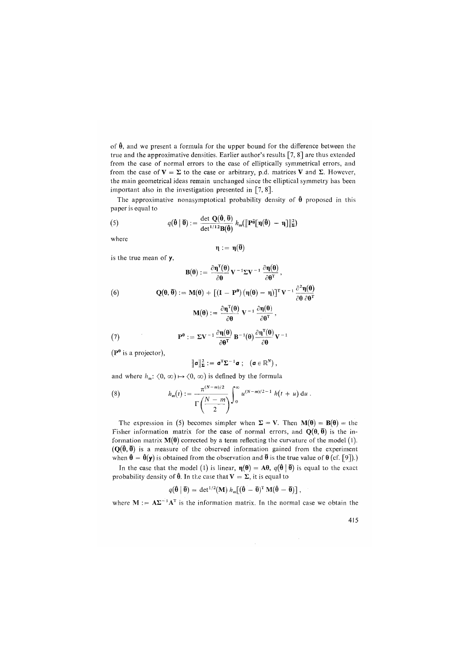of  $\hat{\theta}$ , and we present a formula for the upper bound for the difference between the true and the approximative densities. Earlier author's results [7, 8] are thus extended from the case of normal errors to the case of elliptically symmetrical errors, and from the case of  $V = \Sigma$  to the case or arbitrary, p.d. matrices V and  $\Sigma$ . However, the main geometrical ideas remain unchanged since the elliptical symmetry has been important also in the investigation presented in [7, 8].

The approximative nonasymptotical probability density of  $\hat{\theta}$  proposed in this paper is equal to

(5) 
$$
q(\hat{\boldsymbol{\theta}} \mid \boldsymbol{\bar{\theta}}) := \frac{\det \mathbf{Q}(\hat{\boldsymbol{\theta}}, \boldsymbol{\bar{\theta}})}{\det^{1/12} \mathbf{B}(\hat{\boldsymbol{\theta}})} h_m(\|\mathbf{P} \hat{\mathbf{P}}[\mathbf{\eta}(\hat{\boldsymbol{\theta}}) - \mathbf{\eta}]\|_{\mathbf{\Sigma}}^2)
$$

where

$$
\eta:=\eta(\overline{\theta})
$$

is the true mean of y,

(6)  
\n
$$
B(\theta) := \frac{\partial \eta^{T}(\theta)}{\partial \theta} V^{-1} \Sigma V^{-1} \frac{\partial \eta(\theta)}{\partial \theta^{T}},
$$
\n
$$
Q(\theta, \overline{\theta}) := M(\theta) + \left[ (I - P^{\theta}) (\eta(\theta) - \eta) \right]^{T} V^{-1} \frac{\partial^{2} \eta(\theta)}{\partial \theta \partial \theta^{T}}
$$
\n
$$
M(\theta) := \frac{\partial \eta^{T}(\theta)}{\partial \theta} V^{-1} \frac{\partial \eta(\theta)}{\partial \theta^{T}},
$$

(7) 
$$
\mathbf{P}^{\mathbf{\theta}} := \Sigma \mathbf{V}^{-1} \frac{\partial \mathbf{\eta}(\mathbf{\theta})}{\partial \mathbf{\theta}^{\mathsf{T}}} \mathbf{B}^{-1}(\mathbf{\theta}) \frac{\partial \mathbf{\eta}^{\mathsf{T}}(\mathbf{\theta})}{\partial \mathbf{\theta}} \mathbf{V}^{-1}
$$

 $(P<sup>0</sup>$  is a projector),

$$
\|\boldsymbol{\sigma}\|_{\boldsymbol{\Sigma}}^2 := \boldsymbol{\sigma}^T \boldsymbol{\Sigma}^{-1} \boldsymbol{\sigma} ; \quad (\boldsymbol{\sigma} \in \mathbb{R}^N) ,
$$

and where  $h_m$ :  $(0, \infty) \mapsto (0, \infty)$  is defined by the formula

(8) 
$$
h_m(t) := \frac{\pi^{(N-m)/2}}{\Gamma\left(\frac{N-m}{2}\right)} \int_0^\infty u^{(N-m)/2-1} h(t+u) du.
$$

The expression in (5) becomes simpler when  $\Sigma = V$ . Then  $M(\theta) = B(\theta) =$  the Fisher information matrix for the case of normal errors, and  $Q(\theta, \overline{\theta})$  is the information matrix  $M(\theta)$  corrected by a term reflecting the curvature of the model (1).  $(Q(\hat{\theta}, \overline{\theta}))$  is a measure of the observed information gained from the experiment when  $\hat{\theta} = \hat{\theta}(\mathbf{y})$  is obtained from the observation and  $\bar{\theta}$  is the true value of  $\theta$  (cf. [9]).)

In the case that the model (1) is linear,  $\eta(\theta) = A\theta$ ,  $q(\hat{\theta} | \vec{\theta})$  is equal to the exact probability density of  $\hat{\theta}$ . In the case that  $V = \Sigma$ , it is equal to

$$
q(\hat{\boldsymbol{\theta}} \mid \boldsymbol{\bar{\theta}}) = \det^{1/2}(\mathbf{M}) \; h_m[(\hat{\boldsymbol{\theta}} - \boldsymbol{\bar{\theta}})^{\mathrm{T}} \; \mathbf{M}(\hat{\boldsymbol{\theta}} - \boldsymbol{\bar{\theta}})] \; ,
$$

where  $M := A\Sigma^{-1}A^{T}$  is the information matrix. In the normal case we obtain the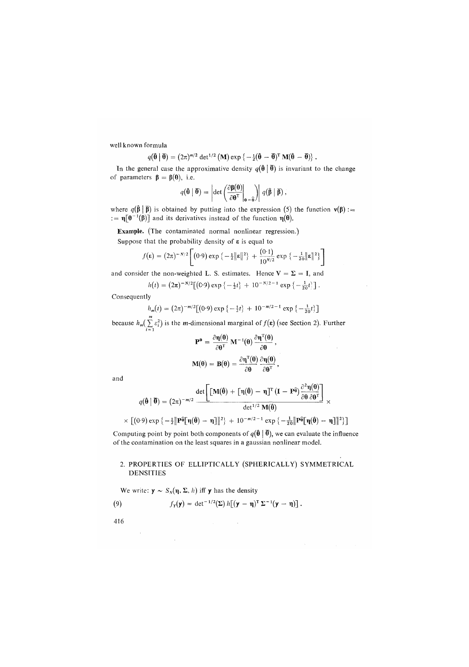well known formula

$$
q(\hat{\boldsymbol{\theta}} \mid \overline{\boldsymbol{\theta}}) = (2\pi)^{m/2} \det^{1/2} (\mathbf{M}) \exp \left\{-\frac{1}{2}(\hat{\boldsymbol{\theta}} - \overline{\boldsymbol{\theta}})^{\mathrm{T}} \mathbf{M}(\hat{\boldsymbol{\theta}} - \overline{\boldsymbol{\theta}})\right\}.
$$

In the general case the approximative density  $q(\hat{\theta} | \vec{\theta})$  is invariant to the change of parameters  $\beta = \beta(0)$ , i.e.

$$
q(\hat{\boldsymbol{\theta}} \mid \overline{\boldsymbol{\theta}}) = \left| \det \left( \frac{\partial \boldsymbol{\beta}(\boldsymbol{\theta})}{\partial \boldsymbol{\theta}^{\mathrm{T}}} \bigg|_{\boldsymbol{\theta} = \widehat{\boldsymbol{\theta}}} \right) \right| \, q(\hat{\boldsymbol{\beta}} \mid \overline{\boldsymbol{\beta}}) ,
$$

where  $q(\hat{\beta} | \overline{\beta})$  is obtained by putting into the expression (5) the function  $v(\beta)$  :=  $:= \eta[\theta^{-1}(\beta)]$  and its derivatives instead of the function  $\eta(\theta)$ .

Example. (The contaminated normal nonlinear regression.)

Suppose that the probability density of  $\varepsilon$  is equal to

$$
f(\mathbf{\varepsilon}) = (2\pi)^{-N/2} \left[ (0.9) \exp \left\{ -\frac{1}{2} \|\mathbf{\varepsilon}\|^2 \right\} + \frac{(0.1)}{10^{N/2}} \exp \left\{ -\frac{1}{20} \|\mathbf{\varepsilon}\|^2 \right\} \right]
$$

and consider the non-weighted L. S. estimates. Hence  $V = \Sigma = I$ , and

$$
h(t) = (2\pi)^{-N/2} \left[ (C \cdot 9) \exp \left\{ -\frac{1}{2}t \right\} + 10^{-N/2 - 1} \exp \left\{ -\frac{1}{20}t \right\} \right].
$$

Consequently

$$
h_m(t) = (2\pi)^{-m/2} [(0.9) \exp \{-\frac{1}{2}t\} + 10^{-m/2 - 1} \exp \{-\frac{1}{20}t\}]
$$

because  $h_m(\sum \varepsilon_i^2)$  is the *m*-dimensional marginal of  $f(\varepsilon)$  (see Section 2). Further

$$
\mathbf{P}^{\mathbf{0}} = \frac{\partial \mathbf{\eta}(\mathbf{0})}{\partial \mathbf{\theta}^{\mathsf{T}}} \mathbf{M}^{-1}(\mathbf{\theta}) \frac{\partial \mathbf{\eta}^{\mathsf{T}}(\mathbf{0})}{\partial \mathbf{\theta}},
$$

$$
\mathbf{M}(\mathbf{\theta}) = \mathbf{B}(\mathbf{\theta}) = \frac{\partial \mathbf{\eta}^{\mathsf{T}}(\mathbf{\theta})}{\partial \mathbf{\theta}} \frac{\partial \mathbf{\eta}(\mathbf{\theta})}{\partial \mathbf{\theta}^{\mathsf{T}}},
$$

and

$$
q(\hat{\boldsymbol{\theta}} \mid \boldsymbol{\overline{\theta}}) = (2\pi)^{-m/2} \frac{\det \left[ [\mathbf{M}(\hat{\boldsymbol{\theta}}) + [\mathbf{\eta}(\hat{\boldsymbol{\theta}}) - \mathbf{\eta}]^{\mathrm{T}} (\mathbf{I} - \mathbf{P} \hat{\boldsymbol{\theta}}) \frac{\partial^2 \mathbf{\eta}(\boldsymbol{\theta})}{\partial \boldsymbol{\theta} \partial \boldsymbol{\theta}^{\mathrm{T}}}\right]}{\det^{1/2} \mathbf{M}(\hat{\boldsymbol{\theta}})} \times \left[ (0.9) \exp \left\{-\frac{1}{2} \|\mathbf{P} \hat{\boldsymbol{\theta}} [\mathbf{\eta}(\hat{\boldsymbol{\theta}}) - \mathbf{\eta}] \|^2 \right\} + 10^{-m/2 - 1} \exp \left\{-\frac{1}{20} \|\mathbf{P} \hat{\boldsymbol{\theta}} [\mathbf{\eta}(\hat{\boldsymbol{\theta}}) - \mathbf{\eta}] \|^2 \right\} \right]
$$

Computing point by point both components of  $q(\hat{\theta} | \vec{\theta})$ , we can evaluate the influence of the contamination on the least squares in a gaussian nonlinear model.

## 2. PROPERTIES OF ELLIPTICALLY (SPHERICALLY) SYMMETRICAL DENSITIES

We write:  $y \sim S_N(\eta, \Sigma, h)$  iff y has the density

 $\sim 10$ 

(9) 
$$
f_{\mathbf{Y}}(\mathbf{y}) = \det^{-1/2}(\Sigma) h[(\mathbf{y} - \mathbf{\eta})^{\mathrm{T}} \Sigma^{-1}(\mathbf{y} - \mathbf{\eta})].
$$

416

 $\sim$   $\sim$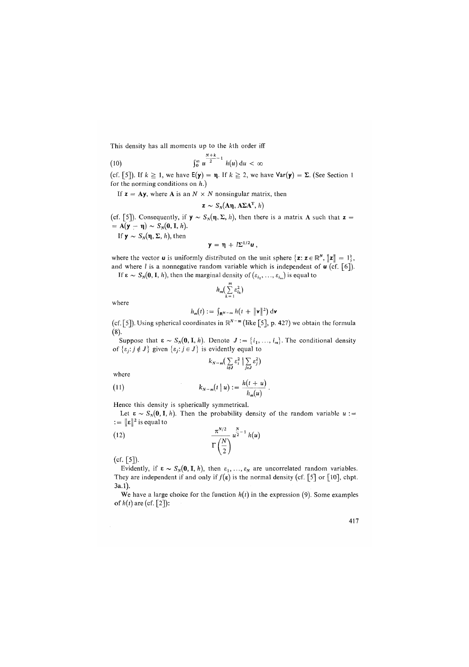This density has all moments up to the kth order iff

$$
\int_0^\infty u^{\frac{N+k}{2}-1} h(u) \, \mathrm{d}u < \infty
$$

(cf. [5]). If  $k \ge 1$ , we have  $E(y) = \eta$ . If  $k \ge 2$ , we have  $Var(y) = \Sigma$ . (See Section 1) for the norming conditions on *h.)* 

If  $z = Ay$ , where **A** is an  $N \times N$  nonsingular matrix, then

$$
\mathbf{z} \sim S_N(\mathbf{A}\mathbf{\eta}, \mathbf{A}\mathbf{\Sigma}\mathbf{A}^T, h)
$$

(cf. [5]). Consequently, if  $y \sim S_N(\eta, \Sigma, h)$ , then there is a matrix A such that  $z =$  $= A(\mathbf{y}-\mathbf{\eta}) \sim S_N(\mathbf{0},\mathbf{I},h).$ 

If  $y \sim S_N(\eta, \Sigma, h)$ , then

$$
y = \eta + l\Sigma^{1/2}u,
$$

where the vector **u** is uniformly distributed on the unit sphere  $\{z: z \in \mathbb{R}^N, ||z|| = 1\}$ , and where *l* is a nonnegative random variable which is independent of  $\mathbf{u}$  (cf. [6]). If  $\epsilon \sim S_N(0, I, h)$ , then the marginal density of  $(\epsilon_{i_1}, \ldots, \epsilon_{i_m})$  is equal to

 $\overline{m}$ 

$$
h_m\left(\sum_{k=1} \varepsilon_{i_k}^2\right)
$$

where

$$
h_m(t) := \int_{\mathbf{R}^{N-m}} h(t + \|\mathbf{v}\|^2) d\mathbf{v}
$$

(cf. [5]). Using spherical coordinates in *U<sup>N</sup> ~ m* (like [5], p. 427) we obtain the formula (8).

Suppose that  $\epsilon \sim S_N(0, I, h)$ . Denote  $J := \{i_1, \ldots, i_m\}$ . The conditional density of  $\{ \varepsilon_j : j \notin J \}$  given  $\{ \varepsilon_j : j \in J \}$  is evidently equal to

$$
k_{N-m}\left(\sum_{i\notin \mathbf{J}}\varepsilon_i^2\Big|\sum_{j\in \mathbf{J}}\varepsilon_j^2\right)
$$

where

(11) 
$$
k_{N-m}(t \mid u) := \frac{h(t+u)}{h_m(u)}.
$$

Hence this density is spherically symmetrical.

Let  $\varepsilon \sim S_N(0, I, h)$ . Then the probability density of the random variable  $u :=$  $:= \|\mathbf{\varepsilon}\|^2$  is equal to

$$
\frac{\pi^{N/2}}{\Gamma\left(\frac{N}{2}\right)}u^{\frac{N}{2}-1}h(u)
$$

(cf. [5]).

Evidently, if  $\epsilon \sim S_N(0, I, h)$ , then  $\varepsilon_1, ..., \varepsilon_N$  are uncorrelated random variables. They are independent if and only if  $f(\varepsilon)$  is the normal density (cf. [5] or [10], chpt. 3a.l).

We have a large choice for the function  $h(t)$  in the expression (9). Some examples of  $h(t)$  are (cf. [2]):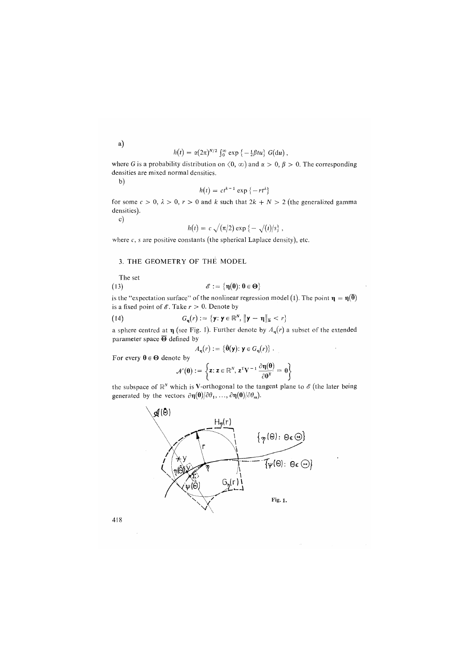$h(t) = \alpha (2\pi)^{N/2} \int_0^\infty \exp \{-\frac{1}{2}\beta t u\} G(\mathrm{d}u),$ 

where G is a probability distribution on  $(0, \infty)$  and  $\alpha > 0$ ,  $\beta > 0$ . The corresponding densities are mixed normal densities.

b)

$$
h(t) = ct^{k-1} \exp\{-rt^{\lambda}\}\
$$

for some  $c > 0$ ,  $\lambda > 0$ ,  $r > 0$  and k such that  $2k + N > 2$  (the generalized gamma densities),

c)

$$
h(t) = c \sqrt{(\pi/2)} \exp \{-\sqrt{(t)/s}\},
$$

where *c, s* are positive constants *(*the spherical Laplace density), etc.

## 3. THE GEOMETRY OF THE MODEL

The set

(13) 
$$
\mathscr{E} := \{ \eta(\boldsymbol{\theta}) : \boldsymbol{\theta} \in \boldsymbol{\Theta} \}
$$

is the "expectation surface" of the nonlinear regression model (1). The point  $\eta = \eta(\bar{\theta})$ is a fixed point of  $\mathscr E$ . Take  $r > 0$ . Denote by

(14) 
$$
G_{\eta}(r) := \{ \mathbf{y} : \mathbf{y} \in \mathbb{R}^{N}, \|\mathbf{y} - \mathbf{\eta}\|_{\mathbf{\Sigma}} < r \}
$$

a sphere centred at  $\eta$  (see Fig. 1). Further denote by  $A_{\eta}(r)$  a subset of the extended parameter space  $\overline{\Theta}$  defined by

$$
A_{\mathbf{q}}(r) := \{ \hat{\boldsymbol{\theta}}(\mathbf{y}) : \mathbf{y} \in G_{\mathbf{q}}(r) \} .
$$

For every  $\theta \in \Theta$  denote by

$$
\mathcal{N}(\theta) := \left\{ z \colon z \in \mathbb{R}^N, \, z^T V^{-1} \, \frac{\partial \eta(\theta)}{\partial \theta^T} = \, 0 \right\}
$$

the subspace of  $\mathbb{R}^N$  which is V-orthogonal to the tangent plane to  $\mathscr{E}$  (the later being generated by the vectors  $\partial \eta(\theta)/\partial \theta_1, \ldots, \partial \eta(\theta)/\partial \theta_m$ .



418

a)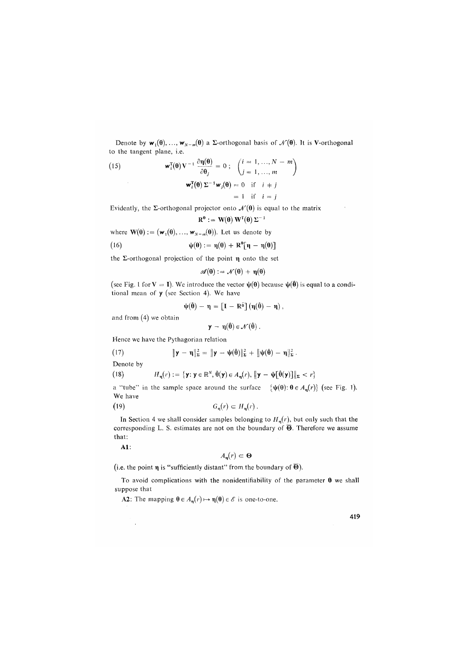Denote by  $w_1(\theta),..., w_{N-m}(\theta)$  a  $\Sigma$ -orthogonal basis of  $\mathcal{N}(\theta)$ . It is V-orthogonal to the tangent plane, i.e.

(15) 
$$
\mathbf{w}_i^{\mathrm{T}}(\mathbf{\theta}) \mathbf{V}^{-1} \frac{\partial \mathbf{\eta}(\mathbf{\theta})}{\partial \mathbf{\theta}_j} = 0; \quad \begin{pmatrix} i = 1, ..., N-m \\ j = 1, ..., m \end{pmatrix}
$$

$$
\mathbf{w}_i^{\mathrm{T}}(\mathbf{\theta}) \Sigma^{-1} \mathbf{w}_j(\mathbf{\theta}) = 0 \quad \text{if} \quad i = j
$$

$$
= 1 \quad \text{if} \quad i = j
$$

 $R^0$ 

Evidently, the  $\Sigma$ -orthogonal projector onto  $\mathcal{N}(\theta)$  is equal to the matrix

$$
:= \mathbf{W}(\mathbf{\theta})\,\mathbf{W}^{\mathrm{T}}(\mathbf{\theta})\,\boldsymbol{\Sigma}^{-1}
$$

where  $\mathbf{W}(\mathbf{\theta}) := (\mathbf{w}_1(\mathbf{\theta}), ..., \mathbf{w}_{N-m}(\mathbf{\theta}))$ . Let us denote by

(16) 
$$
\psi(\theta) := \eta(\theta) + R^{\theta}[\eta - \eta(\theta)]
$$

the  $\Sigma$ -orthogonal projection of the point  $\eta$  onto the set

$$
\mathscr{A}(\theta) := \mathscr{N}(\theta) + \eta(\theta)
$$

(see Fig. 1 for  $V = I$ ). We introduce the vector  $\psi(\theta)$  because  $\psi(\hat{\theta})$  is equal to a conditional mean of  $y$  (see Section 4). We have

$$
\psi(\hat{\theta}) - \eta = \left[I - R\hat{\theta}\right](\eta(\hat{\theta}) - \eta),
$$

and from (4) we obtain

$$
\mathbf{y} - \mathbf{\eta}(\mathbf{\theta}) \in \mathcal{N}(\mathbf{\theta}) .
$$

Hence we have the Pythagorian relation

(17) 
$$
\|\mathbf{y}-\mathbf{\eta}\|_{\Sigma}^{2}=\|\mathbf{y}-\mathbf{\psi}(\hat{\boldsymbol{\theta}})\|_{\Sigma}^{2}+\|\mathbf{\psi}(\hat{\boldsymbol{\theta}})-\mathbf{\eta}\|_{\Sigma}^{2}.
$$

Denote by

(18) 
$$
H_{\mathbf{\eta}}(r) := \{ \mathbf{y} : \mathbf{y} \in \mathbb{R}^{N}, \hat{\theta}(\mathbf{y}) \in A_{\mathbf{\eta}}(r), \|\mathbf{y} - \psi[\hat{\theta}(\mathbf{y})]\|_{\Sigma} < r \}
$$

a "tube" in the sample space around the surface  $\{\psi(\theta): \theta \in A_n(r)\}$  (see Fig. 1). We have

$$
(19) \tGn(r) \subset Hn(r).
$$

In Section 4 we shall consider samples belonging to  $H_n(r)$ , but only such that the corresponding L. S. estimates are not on the boundary of  $\overline{\Theta}$ . Therefore we assume that:

Al:

 $\ddot{\phantom{a}}$ 

$$
A_{\mathbf{u}}(r) \subset \mathbf{\Theta}
$$

(i.e. the point  $\eta$  is "sufficiently distant" from the boundary of  $\overline{\Theta}$ ).

To avoid complications with the nonidentifiability of the parameter  $\theta$  we shall suppose that

A2: The mapping  $\theta \in A_n(r) \mapsto \eta(\theta) \in \mathscr{E}$  is one-to-one.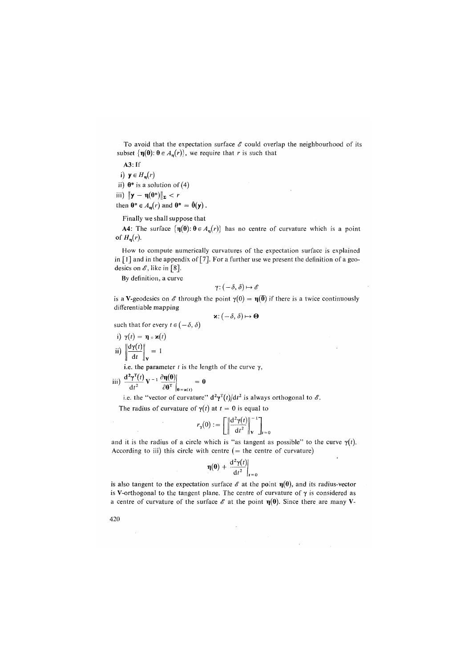To avoid that the expectation surface  $\mathscr E$  could overlap the neighbourhood of its subset  $\{\eta(\theta): \theta \in A_{\eta}(r)\}\$ , we require that r is such that

A3: If  $y \in H_n(r)$ ii)  $\theta^*$  is a solution of (4)  $\|\mathbf{y} - \mathbf{\eta}(\mathbf{\theta}^*)\|_{\mathbf{\Sigma}} < r$ then  $\mathbf{\theta}^* \in A_{\mathbf{\eta}}(r)$  and  $\mathbf{\theta}^* = \mathbf{\theta}(\mathbf{y})$ .

Finally we shall suppose that

**A4:** The surface  $\{\eta(\theta): \theta \in A_{\eta}(r)\}$  has no centre of curvature which is a point of  $H_n(r)$ .

How to compute numerically curvatures of the expectation surface is explained in  $\lceil 1 \rceil$  and in the appendix of  $\lceil 7 \rceil$ . For a further use we present the definition of a geodesics on  $\mathscr E$ , like in [8].

By definition, a curve

$$
\gamma\colon (-\delta,\delta)\mapsto \mathscr{E}
$$

is a V-geodesics on  $\mathscr E$  through the point  $\gamma(0) = \eta(\overline{\theta})$  if there is a twice continuously differentiable mapping

$$
\mathbf{x} : (-\delta, \delta) \mapsto \mathbf{\Theta}
$$

such that for every  $t \in (-\delta, \delta)$ 

i) 
$$
\gamma(t) = \eta \circ \varkappa(t)
$$
  
ii)  $\left\| \frac{d\gamma(t)}{dt} \right\|_V = 1$ 

 $\mathcal{L}$ 

i.e. the parameter  $t$  is the length of the curve  $\gamma$ ,

$$
iii) \frac{d^2 \gamma^T(t)}{dt^2} V^{-1} \frac{\partial \eta(\theta)}{\partial \theta^T}\Big|_{\theta = \varkappa(t)} = 0
$$

i.e. the "vector of curvature"  $d^2\gamma^T(t)/dt^2$  is always orthogonal to  $\mathscr{E}$ .

The radius of curvature of  $\gamma(t)$  at  $t = 0$  is equal to

$$
r_{\gamma}(0) := \left[ \left\| \frac{d^2 \gamma(t)}{dt^2} \right\|_{\mathbf{V}}^{-1} \right]_{t=0}
$$

and it is the radius of a circle which is "as tangent as possible" to the curve  $\gamma(t)$ . According to iii) this circle with centre  $($  = the centre of curvature)

$$
\eta(\theta)+\left.\frac{\mathrm{d}^2\gamma(t)}{\mathrm{d}t^2}\right|_{t=0}
$$

is also tangent to the expectation surface  $\mathscr E$  at the point  $\eta(\theta)$ , and its radius-vector is V-orthogonal to the tangent plane. The centre of curvature of  $\gamma$  is considered as a centre of curvature of the surface  $\mathscr E$  at the point  $\eta(\theta)$ . Since there are many V-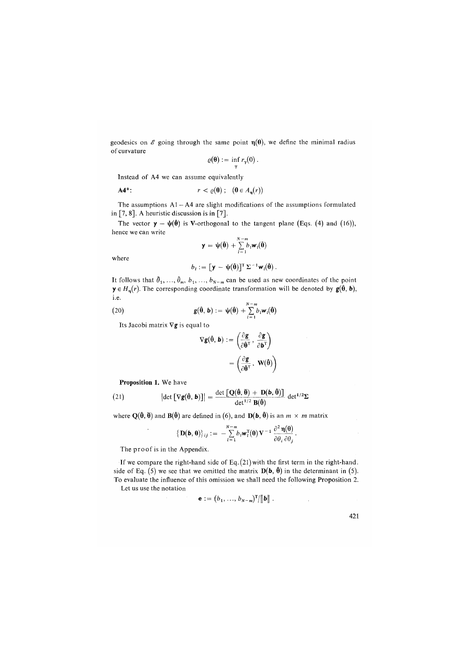geodesics on  $\mathscr E$  going through the same point  $\eta(\theta)$ , we define the minimal radius of curvature

$$
\varrho(\mathbf{\theta}) := \inf_{\gamma} r_{\gamma}(0) .
$$

Instead of A4 we can assume equivalently

$$
\mathbf{A4}^* \colon \qquad \qquad r < \varrho(\mathbf{\theta}) \; ; \; \; (\mathbf{\theta} \in A_n(r))
$$

The assumptions  $A1 - A4$  are slight modifications of the assumptions formulated in  $[7, 8]$ . A heuristic discussion is in  $[7]$ .

The vector  $y - \psi(\hat{\theta})$  is V-orthogonal to the tangent plane (Eqs. (4) and (16)), hence we can write

$$
\mathbf{y} = \mathbf{\psi}(\hat{\mathbf{\theta}}) + \sum_{l=1}^{N-m} b_l \mathbf{w}_l(\hat{\mathbf{\theta}})
$$

where

$$
b_i := [\mathbf{y} - \mathbf{\psi}(\hat{\boldsymbol{\theta}})]^{\mathrm{T}} \Sigma^{-1} \mathbf{w}_i(\hat{\boldsymbol{\theta}}).
$$

It follows that  $\hat{\theta}_1, \ldots, \hat{\theta}_m, b_1, \ldots, b_{N-m}$  can be used as new coordinates of the point  $y \in H_n(r)$ . The corresponding coordinate transformation will be denoted by  $g(\hat{\theta}, b)$ , i.e.

(20) 
$$
\mathbf{g}(\hat{\boldsymbol{\theta}}, \mathbf{b}) := \psi(\hat{\boldsymbol{\theta}}) + \sum_{l=1}^{N-m} b_l \mathbf{w}_l(\hat{\boldsymbol{\theta}})
$$

Its Jacobi matrix  $\nabla$ g is equal to

$$
\nabla g(\hat{\theta}, b) := \left(\frac{\partial g}{\partial \hat{\theta}^T}, \frac{\partial g}{\partial b^T}\right)
$$

$$
= \left(\frac{\partial g}{\partial \hat{\theta}^T}, W(\hat{\theta})\right)
$$

**Proposition 1**. We have

 $\overline{\phantom{a}}$ 

(21) 
$$
\left| \det \left[ \nabla \mathbf{g}(\hat{\boldsymbol{\theta}}, \mathbf{b}) \right] \right| = \frac{\det \left[ \mathbf{Q}(\hat{\boldsymbol{\theta}}, \overline{\boldsymbol{\theta}}) + \mathbf{D}(\mathbf{b}, \hat{\boldsymbol{\theta}}) \right]}{\det^{1/2} \mathbf{B}(\hat{\boldsymbol{\theta}})} \det^{1/2} \Sigma
$$

where  $Q(\hat{\theta}, \overline{\theta})$  and  $B(\hat{\theta})$  are defined in (6), and  $D(\mathbf{b}, \hat{\theta})$  is an  $m \times m$  matrix

$$
\left\{\mathbf{D}(\mathbf{b},\boldsymbol{\theta})\right\}_{ij} := -\sum_{l=1}^{N-m} b_l \mathbf{w}_l^{\mathrm{T}}(\boldsymbol{\theta}) \mathbf{V}^{-1} \frac{\partial^2 \mathbf{\eta}(\boldsymbol{\theta})}{\partial \theta_i \partial \theta_j}.
$$

The proof is in the Appendix.

If we compare the right-hand side of Eq. *(*21) with the first term in the right-hand, side of Eq. (5) we see that we omitted the matrix  $D(b, \hat{\theta})$  in the determinant in (5). To evaluate the influence of this omission we shall need the following Proposition 2. Let us use the notation

$$
\mathbf{e} := (b_1, ..., b_{N-m})^T / ||\mathbf{b}||.
$$

*All* 

 $\sim$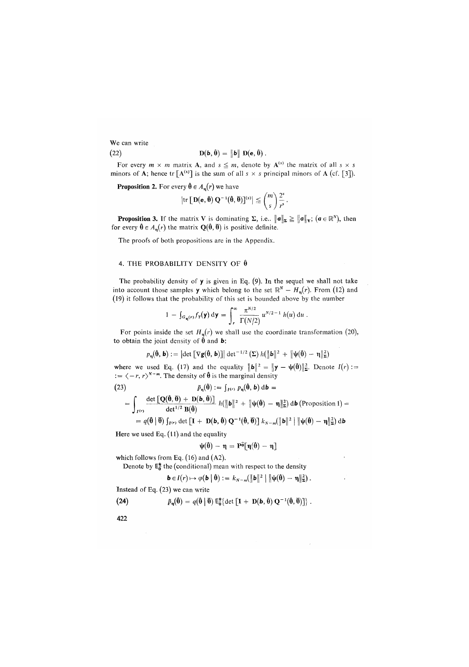We can write (22)  $\mathbf{D}(\mathbf{b},\hat{\mathbf{\theta}})=\|\mathbf{b}\| \mathbf{D}(\mathbf{e},\hat{\mathbf{\theta}})$ .

For every  $m \times m$  matrix **A**, and  $s \leq m$ , denote by  $A^{(s)}$  the matrix of all  $s \times s$ minors of A; hence tr  $[A^{(s)}]$  is the sum of all  $s \times s$  principal minors of A (cf. [3]).

**Proposition 2.** For every  $\hat{\theta} \in A_{n}(r)$  we have

$$
\left|\operatorname{tr}\left[\mathbf{D}(\mathbf{e},\boldsymbol{\hat{\theta}})\,\mathbf{Q}^{-1}(\boldsymbol{\hat{\theta}},\boldsymbol{\bar{\theta}})\right]^{(s)}\right| \leqq {m \choose s} \frac{2^s}{r^s}.
$$

**Proposition 3.** If the matrix V is dominating  $\Sigma$ , i.e..  $\|\boldsymbol{a}\|_{\boldsymbol{\Sigma}} \geq \|\boldsymbol{a}\|_{\mathbf{V}}$ ;  $(\boldsymbol{a} \in \mathbb{R}^N)$ , then for every  $\hat{\theta} \in A_n(r)$  the matrix  $Q(\hat{\theta}, \hat{\theta})$  is positive definite.

The proofs of both propositions are in the Appendix.

#### 4. THE PROBABILITY DENSITY OF  $\hat{\theta}$

The probability density of y is given in Eq. *(*9). In the sequel we shall not take into account those samples **y** which belong to the set  $\mathbb{R}^N - H_n(r)$ . From (12) and *(*19) it follows that the probability of this set is bounded above by the number

$$
1 - \int_{G_{\mathbf{\eta}}(r)} f_{\mathbf{y}}(\mathbf{y}) \, \mathrm{d} \mathbf{y} = \int_{r}^{\infty} \frac{\pi^{N/2}}{\Gamma(N/2)} u^{N/2 - 1} h(u) \, \mathrm{d}u \, .
$$

For points inside the set  $H_n(r)$  we shall use the coordinate transformation (20), to obtain the joint density of  $\hat{\theta}$  and **b**:

$$
\textit{p}_{\eta}(\boldsymbol{\hat{\theta}},\boldsymbol{b}):=\left|\text{det}\left[\nabla g(\boldsymbol{\hat{\theta}},\boldsymbol{b})\right]\right|\text{det}^{-1/2}\left(\Sigma\right)\textit{h}(\|\boldsymbol{b}\|^{2}\,+\,\|\boldsymbol{\psi}(\boldsymbol{\hat{\theta}})-\eta\|_{\Sigma}^{2})
$$

where we used Eq. (17) and the equality  $\|\mathbf{b}\|^2 = \|\mathbf{y} - \psi(\hat{\mathbf{\theta}})\|^2$ . Denote  $I(r)$ :  $:= \langle -r, r \rangle^{N-m}$ . The density of  $\hat{\theta}$  is the marginal density

(23)  $\tilde{p}_{\eta}(\hat{\theta}) := \int_{I^{(r)}} p_{\eta}(\hat{\theta}, \mathbf{b}) d\mathbf{b} =$ 

$$
= \int_{I^{(r)}} \frac{\det [\mathbf{Q}(\hat{\theta},\overline{\theta}) + \mathbf{D}(\mathbf{b},\hat{\theta})]}{\det^{1/2} \mathbf{B}(\hat{\theta})} h(\|\mathbf{b}\|^2 + \|\psi(\hat{\theta}) - \eta\|_{\mathbf{E}}^2) \, d\mathbf{b} \, (\text{Proposition 1}) =
$$

$$
= q(\hat{\boldsymbol{\theta}} \mid \hat{\boldsymbol{\theta}}) \int_{I^{(r)}} \det \left[ \mathbf{I} + \mathbf{D}(\boldsymbol{b}, \hat{\boldsymbol{\theta}}) \mathbf{Q}^{-1}(\hat{\boldsymbol{\theta}}, \tilde{\boldsymbol{\theta}}) \right] k_{N-m}(\|\boldsymbol{b}\|^2 \mid \|\boldsymbol{\psi}(\hat{\boldsymbol{\theta}}) - \boldsymbol{\eta}\|_2^2) d\boldsymbol{b}
$$

Here we used Eq. *(*11) and the equality

$$
\psi(\hat{\theta}) - \eta = P^{\hat{\theta}}[\eta(\hat{\theta}) - \eta]
$$

which follows from Eq. (16) and (A2).

Denote by  $E_0^*$  the (conditional) mean with respect to the density

$$
\mathbf{b} \in I(r) \mapsto \varphi(\mathbf{b} \mid \hat{\boldsymbol{\theta}}) := k_{N-m}(\|\mathbf{b}\|^2 \mid \|\boldsymbol{\psi}(\hat{\boldsymbol{\theta}}) - \boldsymbol{\eta}\|_{\boldsymbol{\Sigma}}^2).
$$

Instead of Eq. (23) we can write

(24) 
$$
\tilde{p}_{n}(\hat{\boldsymbol{\theta}}) = q(\hat{\boldsymbol{\theta}} \mid \overline{\boldsymbol{\theta}}) \mathsf{E}_{\hat{\boldsymbol{\theta}}}^{*} \{\det \left[ \mathbf{I} + \mathbf{D}(\boldsymbol{b}, \hat{\boldsymbol{\theta}}) \mathbf{Q}^{-1}(\hat{\boldsymbol{\theta}}, \overline{\boldsymbol{\theta}}) \right] \}.
$$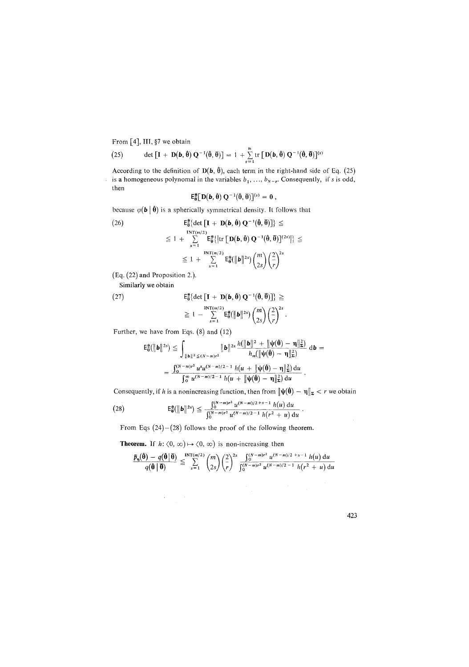From [4], **II**I**,** §7 we obtain

(25) det 
$$
\left[\mathbf{I} + \mathbf{D}(\mathbf{b}, \hat{\boldsymbol{\theta}}) \mathbf{Q}^{-1}(\hat{\boldsymbol{\theta}}, \overline{\boldsymbol{\theta}})\right] = 1 + \sum_{s=1}^{m} tr \left[\mathbf{D}(\mathbf{b}, \hat{\boldsymbol{\theta}}) \mathbf{Q}^{-1}(\hat{\boldsymbol{\theta}}, \overline{\boldsymbol{\theta}})\right]^{(s)}
$$

According to the definition of  $D(b, \hat{\theta})$ , each term in the right-hand side of Eq. (25) is a homogeneous polynomal in the variables  $b_1, \ldots, b_{N-r}$ . Consequently, if s is odd, then

$$
\mathsf{E}_{\theta}^*[\,D(b,\hat{\theta})\,Q^{-1}(\hat{\theta},\overline{\theta})\,]^{(s)}=0\;,
$$

because  $\varphi(\mathbf{b} \mid \hat{\mathbf{\theta}})$  is a spherically symmetrical density. It follows that

(26) 
$$
\mathbf{E}_{\theta}^{*}\{\det[\mathbf{I} + \mathbf{D}(\mathbf{b}, \hat{\theta}) \mathbf{Q}^{-1}(\hat{\theta}, \overline{\theta})]\} \leq
$$

$$
\leq 1 + \sum_{s=1}^{\text{INT}(m/2)} \mathbf{E}_{\theta}^{*}\{\left|\text{tr}\left[\mathbf{D}(\mathbf{b}, \hat{\theta}) \mathbf{Q}^{-1}(\hat{\theta}, \overline{\theta})\right]^{(2s)}\right|\} \leq
$$

$$
\leq 1 + \sum_{s=1}^{\text{INT}(m/2)} \mathbf{E}_{\theta}^{*}(\|\mathbf{b}\|^{2s}) {m \choose 2s} \left(\frac{2}{r}\right)^{2s}
$$

(Eq. (22) and Proposition 2.).

Similarly we obtain

(27) 
$$
\mathsf{E}_{\mathbf{0}}^* \{\det \left[\mathbf{I} + \mathbf{D}(\mathbf{b}, \mathbf{\hat{\theta}}) \mathbf{Q}^{-1}(\mathbf{\hat{\theta}}, \mathbf{\bar{\theta}})\right]\} \geq \newline \geq 1 - \sum_{s=1}^{\text{INT}(m/2)} \mathsf{E}_{\mathbf{0}}^* \{\|\mathbf{b}\|^{2s}\} {m \choose 2s} {2 \choose r}^2.
$$

Further, we have from Eqs. (8) and (12)

 $\mathcal{L}_{\text{max}}$  , where  $\mathcal{L}_{\text{max}}$ 

$$
\mathsf{E}_{\mathbf{0}}^{\mathbf{*}}(\|\mathbf{b}\|^{2s}) \leq \int_{\|\mathbf{b}\|^{2} \leq (N-m)t^{2}} \|\mathbf{b}\|^{2s} \frac{h(\|\mathbf{b}\|^{2} + \|\psi(\mathbf{0}) - \mathbf{\eta}\|_{\mathbf{\Sigma}}^{2})}{h_{m}(\|\psi(\mathbf{0}) - \mathbf{\eta}\|_{\mathbf{\Sigma}}^{2})} d\mathbf{b} =
$$
  
= 
$$
\frac{\int_{0}^{(N-m)t^{2}} u^{s} u^{(N-m)/2 - 1} h(u + \|\psi(\mathbf{0}) - \mathbf{\eta}\|_{\mathbf{\Sigma}}^{2}) du}{\int_{0}^{\infty} u^{(N-m)/2 - 1} h(u + \|\psi(\mathbf{0}) - \mathbf{\eta}\|_{\mathbf{\Sigma}}^{2}) du}.
$$

Consequently, if h is a nonincreasing function, then from  $\|\psi(\hat{\theta}) - \eta\|_{\mathbb{E}} < r$  we obtain

(28) 
$$
\mathsf{E}_{\mathbf{\theta}}^* (\|\mathbf{b}\|^{2s}) \leq \frac{\int_0^{(N-m)r^2} u^{(N-m)/2+s-1} h(u) du}{\int_0^{(N-m)r^2} u^{(N-m)/2-1} h(r^2+u) du}.
$$

From Eqs  $(24)-(28)$  follows the proof of the following theorem.

**Theorem.** If  $h: \langle 0, \infty) \mapsto \langle 0, \infty \rangle$  is non-increasing then

$$
\frac{\tilde{p}_{\eta}(\hat{\theta}) - q(\hat{\theta}|\bar{\theta})}{q(\hat{\theta}|\bar{\theta})} \leq \sum_{s=1}^{\text{INT}(m/2)} \binom{m}{2s} \left(\frac{2}{r}\right)^{2s} \frac{\int_0^{(N-m)r^2} u^{(N-m)/2} t^{s-1} h(u) du}{\int_0^{(N-m)r^2} u^{(N-m)/2-1} h(r^2 + u) du}
$$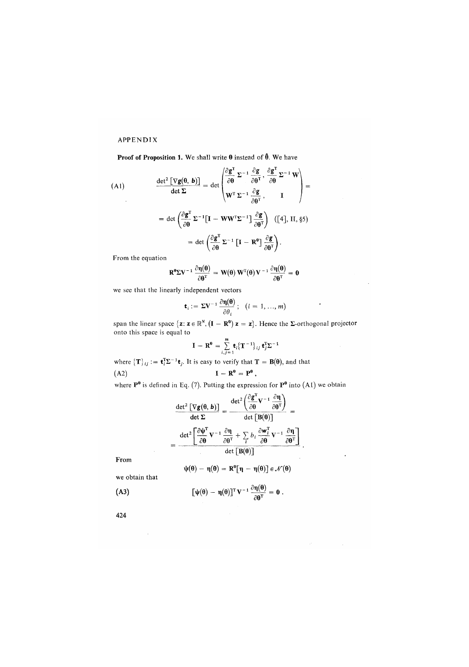# APPENDIX

Proof of Proposition 1. We shall write  $\theta$  instead of  $\hat{\theta}$ . We have

(A1)  
\n
$$
\frac{\det^2 \left[ \nabla g(\theta, b) \right]}{\det \Sigma} = \det \begin{pmatrix} \frac{\partial g}{\partial \theta} & \Sigma^{-1} \frac{\partial g}{\partial \theta^T}, \frac{\partial g}{\partial \theta} \Sigma^{-1} W \\ W^T \Sigma^{-1} \frac{\partial g}{\partial \theta^T}, & I \end{pmatrix} =
$$
\n
$$
= \det \begin{pmatrix} \frac{\partial g^T}{\partial \theta} \Sigma^{-1} \left[ I - W W^T \Sigma^{-1} \right] \frac{\partial g}{\partial \theta^T} \right) & ([4], \text{ II, §5}] = \det \begin{pmatrix} \frac{\partial g^T}{\partial \theta} \Sigma^{-1} \left[ I - R^{\theta} \right] \frac{\partial g}{\partial \theta^T} \end{pmatrix}.
$$
\nFrom the series.

From the equation

$$
R^{\theta} \Sigma V^{-1} \frac{\partial \eta(\theta)}{\partial \theta^T} = W(\theta) W^T(\theta) V^{-1} \frac{\partial \eta(\theta)}{\partial \theta^T} = 0
$$

we see that the linearly independent vectors

$$
\mathbf{t}_i := \Sigma \mathbf{V}^{-1} \frac{\partial \eta(\mathbf{\Theta})}{\partial \theta_i}; \quad (i = 1, ..., m)
$$

span the linear space  $\{z: z \in \mathbb{R}^N, (\mathbf{I} - \mathbf{R}^0) z = z\}$ . Hence the  $\Sigma$ -orthogonal projector onto this space is equal to

$$
\mathbf{I} - \mathbf{R}^0 = \sum_{i,j=1}^m \mathbf{t}_i \{\mathbf{T}^{-1}\}_{ij} \mathbf{t}_j^T \Sigma^{-1}
$$

where  $\{T\}_{ij} := \mathbf{t}_i^T \Sigma^{-1} \mathbf{t}_j$ . It is easy to verify that  $T = B(\theta)$ , and that (A2)  $\mathbf{I} - \mathbf{R}^{\theta} = \mathbf{P}^{\theta}$ ,

where  $P^0$  is defined in Eq. (7). Putting the expression for  $P^0$  into (A1) we obtain

$$
\frac{\det^2 \left[ \nabla g(\theta, b) \right]}{\det \Sigma} = \frac{\det^2 \left( \frac{\partial g'}{\partial \theta} \mathbf{V}^{-1} \frac{\partial \mathbf{\eta}}{\partial \theta^T} \right)}{\det \left[ \mathbf{B}(\theta) \right]} = \frac{\det^2 \left[ \frac{\partial \psi^T}{\partial \theta} \mathbf{V}^{-1} \frac{\partial \mathbf{\eta}}{\partial \theta^T} + \sum_l b_l \frac{\partial \mathbf{w}_l^T}{\partial \theta} \mathbf{V}^{-1} \frac{\partial \mathbf{\eta}}{\partial \theta^T} \right]}{\det \left[ \mathbf{B}(\theta) \right]}
$$

From

$$
\psi(\theta) - \eta(\theta) = \mathbf{R}^{\theta} [\eta - \eta(\theta)] \in \mathcal{N}(\theta)
$$

we obtain that

 $\bar{z}$ 

(A3) 
$$
[\psi(\theta) - \eta(\theta)]^{\mathrm{T}} V^{-1} \frac{\partial \eta(\theta)}{\partial \theta^{\mathrm{T}}} = 0.
$$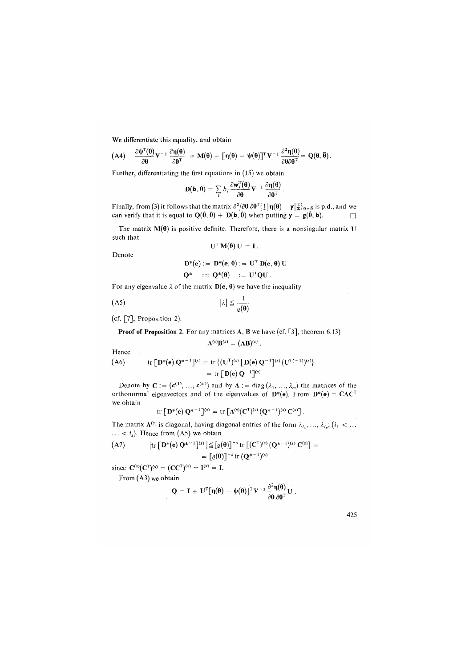We differentiate this equality, and obtain

(A4) 
$$
\frac{\partial \Psi^T(\theta)}{\partial \theta} V^{-1} \frac{\partial \eta(\theta)}{\partial \theta^T} = M(\theta) + [\eta(\theta) - \Psi(\theta)]^T V^{-1} \frac{\partial^2 \eta(\theta)}{\partial \theta \partial \theta^T} = Q(\theta, \overline{\theta}).
$$

Further, differentiating the first equations in *(*15) we obtain

$$
\mathbf{D}(\mathbf{b},\boldsymbol{\theta})=\sum_{l}b_{l}\frac{\partial \mathbf{w}_{l}^{T}(\boldsymbol{\theta})}{\partial \boldsymbol{\theta}}\mathbf{V}^{-1}\frac{\partial \mathbf{\eta}(\boldsymbol{\theta})}{\partial \boldsymbol{\theta}^{T}}.
$$

Finally, from (3) it follows that the matrix  $\partial^2/\partial\theta$   $\partial\theta^T\{\frac{1}{2}\|\eta(\theta) - \mathbf{y}\|_{{\boldsymbol{\Sigma}}}^2\}_{\theta=\hat{\mathbf{0}}}$  is p.d., and we can verify that it is equal to  $\mathbf{Q}(\theta, \theta) + \mathbf{D}(\mathbf{b}, \theta)$  when putting  $\mathbf{y} = \mathbf{g}(\theta, \mathbf{b})$ .

The matrix  $M(\theta)$  is positive definite. Therefore, there is a nonsingular matrix U such that

$$
U^T M(\theta) U = I.
$$

Denote

$$
D^*(\mathbf{e}) := D^*(\mathbf{e}, \theta) := U^T D(\mathbf{e}, \theta) U
$$
  

$$
Q^* := Q^*(\theta) := U^T QU.
$$

For any eigenvalue  $\lambda$  of the matrix  $D(e, \theta)$  we have the inequality

$$
|\lambda| \leq \frac{1}{\varrho(\mathbf{\theta})}
$$

(cf. [7], Proposition 2).

**Proof of Proposition 2.** For any matrices **A**, **B** we have (cf. [3], theorem 6.13)  

$$
A^{(s)}B^{(s)} = (AB)^{(s)}.
$$

Hence

$$
\begin{aligned} \text{(A6)} \qquad \qquad \text{tr}\left[\mathbf{D}^*(\mathbf{e})\,\mathbf{Q}^{*-1}\right]^{(s)} &= \text{tr}\left\{ (\mathbf{U}^T)^{(s)}\left[\mathbf{D}(\mathbf{e})\,\mathbf{Q}^{-1}\right]^{(s)}\left(\mathbf{U}^{T(-1)}\right)^{(s)}\right\} \\ &= \text{tr}\left[\mathbf{D}(\mathbf{e})\,\mathbf{Q}^{-1}\right]^{(s)} \end{aligned}
$$

Denote by  $C := (c^{(1)}, ..., c^{(m)})$  and by  $\Lambda := diag(\lambda_1, ..., \lambda_m)$  the matrices of the orthonormal eigenvectors and of the eigenvalues of  $D^*(e)$ . From  $D^*(e) = C\Lambda C^T$ we obtain

$$
\text{tr}\left[\, \mathbf{D}^{*}(\mathbf{e})\, \mathbf{Q}^{* \, -\, 1} \right]^{(s)} = \, \text{tr}\left[\, \Lambda^{(s)}(\mathbf{C}^{T})^{(s)}\, \big( \mathbf{Q}^{* \, -\, 1} \big)^{(s)}\, \mathbf{C}^{(s)} \right]\, .
$$

The matrix  $\Lambda^{(s)}$  is diagonal, having diagonal entries of the form  $\lambda_{i_1}, \ldots, \lambda_{i_s}$ ;  $(i_1 < \ldots$  $\ldots$  < *i<sub>s</sub>*). Hence from (A5) we obtain

(A7) 
$$
\begin{aligned} \left| \text{tr} \left[ \mathbf{D}^*(\mathbf{e}) \, \mathbf{Q}^{*-1} \right]^{(s)} \right| &\leq \left[ \varrho(\mathbf{0}) \right]^{-s} \text{tr} \left[ (\mathbf{C}^T)^{(s)} \, (\mathbf{Q}^{*-1})^{(s)} \, \mathbf{C}^{(s)} \right] = \\ &= \left[ \varrho(\mathbf{0}) \right]^{-s} \text{tr} \left( \mathbf{Q}^{*-1} \right)^{(s)} \end{aligned}
$$

since  $C^{(s)}(C^{T})^{(s)} = (CC^{T})^{(s)} = I^{(s)} = I$ .

From  $(A3)$  we obtain

$$
\mathbf{Q} = \mathbf{I} + \mathbf{U}^{\mathrm{T}}[\mathbf{\eta}(\mathbf{\theta}) - \mathbf{\psi}(\mathbf{\theta})]^{\mathrm{T}} \mathbf{V}^{-1} \frac{\partial^2 \mathbf{\eta}(\mathbf{\theta})}{\partial \mathbf{\theta} \partial \mathbf{\theta}^{\mathrm{T}}} \mathbf{U}.
$$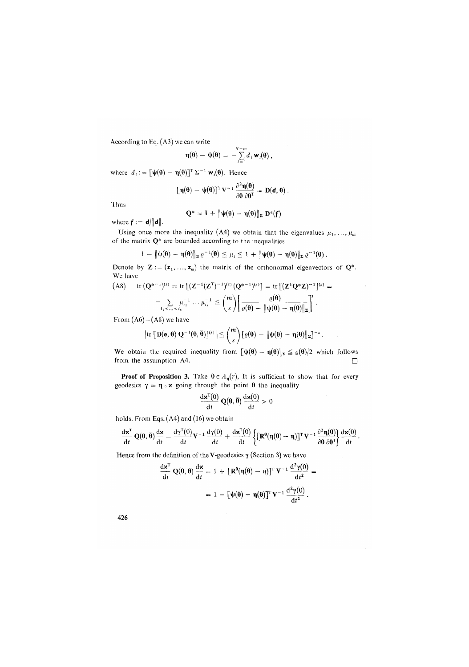According to Eq. (A3) we can write

$$
\mathbf{\eta}(\mathbf{\theta}) - \mathbf{\psi}(\mathbf{\theta}) = -\sum_{i=1}^{N-m} d_i \mathbf{w}_i(\mathbf{\theta}),
$$

where  $d_i := [\psi(\theta) - \eta(\theta)]^T \Sigma^{-1} \mathbf{w}_i(\theta)$ . Hence

$$
\big[\eta(\theta)-\psi(\theta)\big]^{\scriptscriptstyle T} \, V^{-1} \, \frac{\partial^2 \eta(\theta)}{\partial \theta \, \partial \theta^{\scriptscriptstyle T}} = \, D(d,\theta) \, .
$$

Thus

$$
Q^* = I + \left\|\psi(\theta) - \eta(\theta)\right\|_{\Sigma} D^*(f)
$$

where  $f := d/||d||$ .

Using once more the inequality (A4) we obtain that the eigenvalues  $\mu_1, \ldots, \mu_m$ of the matrix Q\* are bounded according to the inequalities

$$
1\,-\,\|\psi(\theta)-\eta(\theta)\|_{\Sigma}\,\varrho^{-1}(\theta)\leqq\mu_{\,i}\leqq 1\,+\,\|\psi(\theta)-\eta(\theta)\|_{\Sigma}\,\varrho^{-1}(\theta)\,.
$$

Denote by  $\mathbf{Z} := (\mathbf{z}_1, ..., \mathbf{z}_m)$  the matrix of the orthonormal eigenvectors of  $\mathbf{Q}^*$ . We have

(A8) tr 
$$
(Q^{*^{-1}})^{(s)}
$$
 = tr  $[(Z^{-1}(Z^{T})^{-1})^{(s)} (Q^{*^{-1}})^{(s)}]$  = tr  $[(Z^{T}Q^{*}Z)^{-1}]^{(s)}$  =  
\n
$$
= \sum_{i_1 < ... < i_s} \mu_{i_1}^{-1} ... \mu_{i_s}^{-1} \le {m \choose s} \left[ \frac{\varrho(\theta)}{\varrho(\theta) - ||\psi(\theta) - \eta(\theta)||_{\Sigma}} \right]^{s}.
$$

From  $(A6) - (A8)$  we have

$$
\left|\text{tr}\left[\mathbf{D}(\mathbf{e},\boldsymbol{\theta})\mathbf{Q}^{-1}(\boldsymbol{\theta},\boldsymbol{\bar{\theta}})\right]^{(s)}\right| \leq {m \choose s}\left[\varrho(\boldsymbol{\theta})\,-\,\|\boldsymbol{\psi}(\boldsymbol{\theta})\,-\,\boldsymbol{\eta}(\boldsymbol{\theta})\|_{\boldsymbol{\Sigma}}\right]^{-s}.
$$

We obtain the required inequality from  $[\psi(\theta) - \eta(\theta)]_E \leq \varrho(\theta)/2$  which follows from the assumption A4.  $\Box$ 

**Proof of Proposition 3.** Take  $\theta \in A_n(r)$ , It is sufficient to show that for every geodesics  $\gamma = \eta \circ \kappa$  going through the point  $\theta$  the inequality

$$
\frac{d\mathbf{x}^{\mathrm{T}}(0)}{dt}\,\mathbf{Q}(\mathbf{\theta},\overline{\mathbf{\theta}})\,\frac{d\mathbf{x}(0)}{dt}>0
$$

holds. From Eqs. (A4) and (16) we obtain

$$
\frac{d\textbf{x}^T}{dt}\,\mathbf{Q}(\boldsymbol{\theta},\boldsymbol{\overline{\theta}})\frac{d\textbf{x}}{dt}=\frac{d\gamma^T(0)}{dt}\textbf{V}^{-1}\,\frac{d\gamma(0)}{dt}+\frac{d\textbf{x}^T(0)}{dt}\left\{\big[\textbf{R}^{\boldsymbol{\theta}}(\eta(\boldsymbol{\theta})-\eta)\big]^T\textbf{V}^{-1}\frac{\partial^2\eta(\boldsymbol{\theta})}{\partial\boldsymbol{\theta}\,\partial\boldsymbol{\theta}^T}\right\}\frac{d\textbf{x}(0)}{dt}\,.
$$

Hence from the definition of theV-geodesics **y** (Section 3) we h**ave** 

$$
\frac{d\mathbf{x}^T}{dt} \mathbf{Q}(\mathbf{\theta}, \overline{\mathbf{\theta}}) \frac{d\mathbf{x}}{dt} = 1 + \left[\mathbf{R}^{\mathbf{\theta}}(\eta(\mathbf{\theta}) - \eta)\right]^T \mathbf{V}^{-1} \frac{d^2 \gamma(\mathbf{0})}{dt^2} =
$$

$$
= 1 - \left[\psi(\mathbf{\theta}) - \eta(\mathbf{\theta})\right]^T \mathbf{V}^{-1} \frac{d^2 \gamma(\mathbf{0})}{dt^2}.
$$